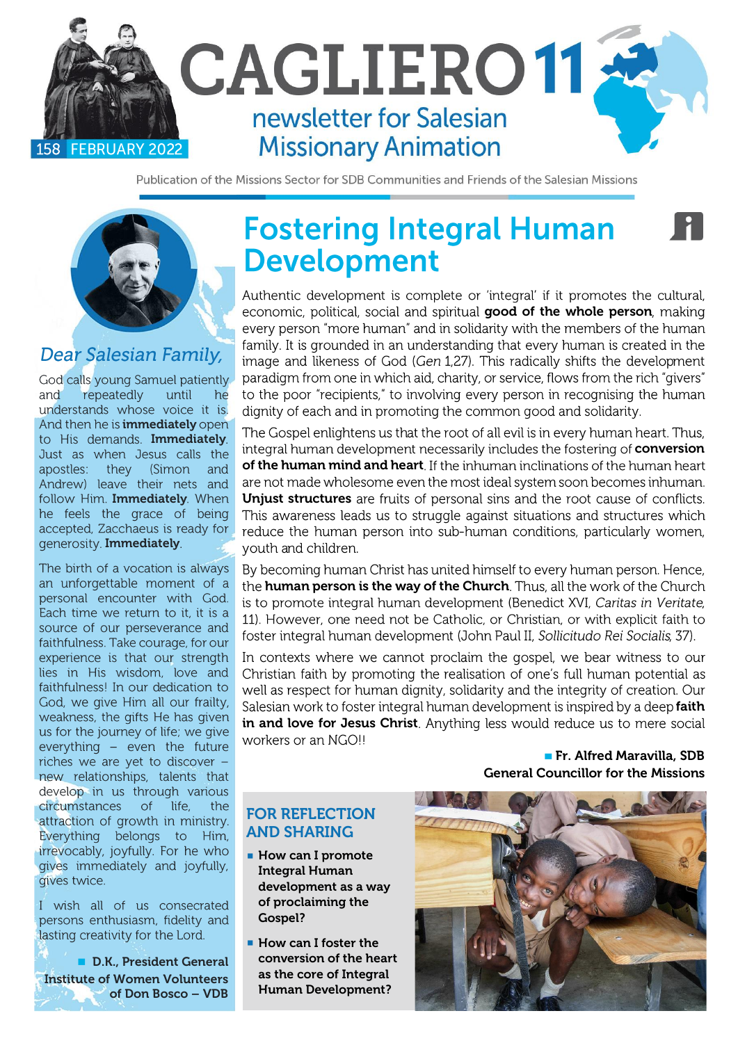

Publication of the Missions Sector for SDB Communities and Friends of the Salesian Missions



### Dear Salesian Family,

God calls young Samuel patiently and repeatedly until he understands whose voice it is. And then he is **immediately** open to His demands. **Immediately**<br>Just as when Jesus calls the apostles: they (Simon and Andrew) leave their nets and follow Him. Immediately. When he feels the grace of being accepted. Zacchaeus is ready for generosity. Immediately.

The birth of a vocation is always an unforgettable moment of a personal encounter with God. Each time we return to it, it is a source of our perseverance and faithfulness. Take courage, for our experience is that our strength lies in His wisdom, love and faithfulness! In our dedication to God, we give Him all our frailty, weakness, the gifts He has given us for the journey of life; we give everything - even the future riches we are yet to discover new relationships, talents that develop in us through various circumstances of life, the attraction of growth in ministry. Everything belongs to Him, irrevocably, joyfully. For he who gives immediately and joyfully, gives twice.

I wish all of us consecrated persons enthusiasm, fidelity and lasting creativity for the Lord.

■ D.K., President General Institute of Women Volunteers of Don Bosco – VDB

# **Fostering Integral Human Development**

Authentic development is complete or 'integral' if it promotes the cultural, economic, political, social and spiritual good of the whole person, making every person "more human" and in solidarity with the members of the human family. It is grounded in an understanding that every human is created in the image and likeness of God (Gen 1,27). This radically shifts the development paradigm from one in which aid, charity, or service, flows from the rich "givers" to the poor "recipients," to involving every person in recognising the human dignity of each and in promoting the common good and solidarity.

The Gospel enlightens us that the root of all evil is in every human heart. Thus, integral human development necessarily includes the fostering of conversion of the human mind and heart. If the inhuman inclinations of the human heart are not made wholesome even the most ideal system soon becomes inhuman. Unjust structures are fruits of personal sins and the root cause of conflicts. This awareness leads us to struggle against situations and structures which reduce the human person into sub-human conditions, particularly women, youth and children.

By becoming human Christ has united himself to every human person. Hence, the human person is the way of the Church. Thus, all the work of the Church is to promote integral human development (Benedict XVI, Caritas in Veritate, 11). However, one need not be Catholic, or Christian, or with explicit faith to foster integral human development (John Paul II, Sollicitudo Rei Socialis, 37).

In contexts where we cannot proclaim the gospel, we bear witness to our Christian faith by promoting the realisation of one's full human potential as well as respect for human dignity, solidarity and the integrity of creation. Our Salesian work to foster integral human development is inspired by a deep faith in and love for Jesus Christ. Anything less would reduce us to mere social workers or an NGO!!

> **▀** Fr. Alfred Maravilla, SDB General Councillor for the Missions

#### FOR REFLECTION AND SHARING

- How can I promote Integral Human development as a way of proclaiming the Gospel?
- How can I foster the conversion of the heart as the core of Integral Human Development?